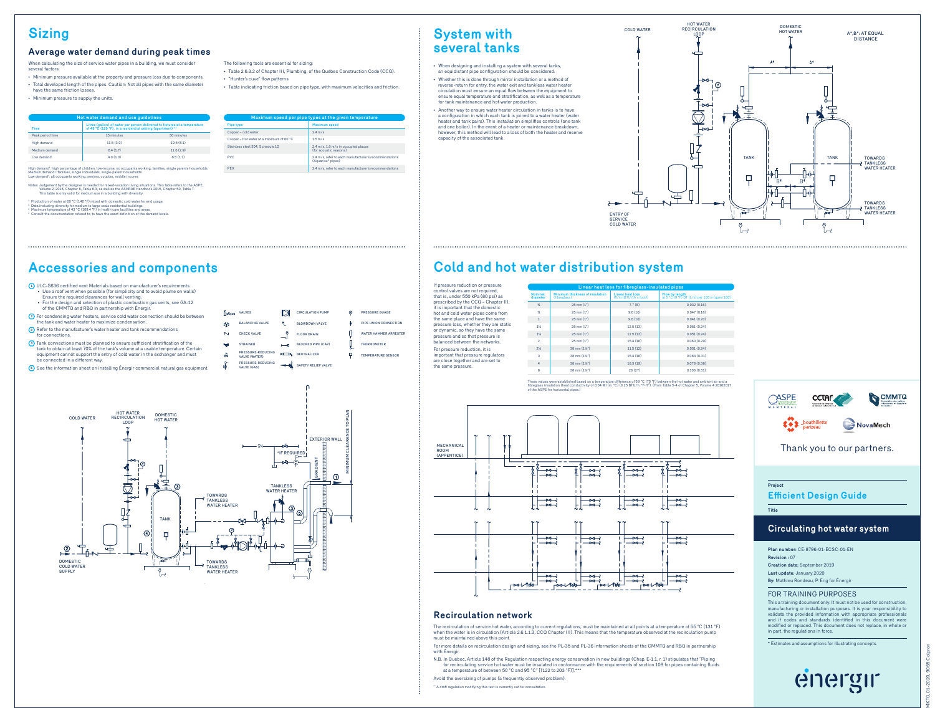# **Sizing**

## **Average water demand during peak times**

When calculating the size of service water pipes in a building, we must consider several factors:

- Minimum pressure available at the property and pressure loss due to components. • Total developed length of the pipes. Caution: Not all pipes with the same diameter
- have the same friction losses.
- Minimum pressure to supply the units.

| Hot water demand and use quidelines |            |                                                                                                                                                     |  |  |
|-------------------------------------|------------|-----------------------------------------------------------------------------------------------------------------------------------------------------|--|--|
| Time                                |            | Litres (gallon) of water per person delivered to fixtures at a temperature<br>of 49 °C (120 °F), in a residential setting (apartment) <sup>12</sup> |  |  |
| Peak period time                    | 15 minutes | 30 minutes                                                                                                                                          |  |  |
| High demand                         | 11.5(3.0)  | 19.5(5.1)                                                                                                                                           |  |  |
| Medium demand                       | 6.4(1.7)   | 11.0(2.9)                                                                                                                                           |  |  |
| Low demand                          | 4.0(1.0)   | 6.5(1.7)                                                                                                                                            |  |  |

High demand<sup>4</sup>: high pe High demand4: high percentage of children, low-income, no occupants working, families, single parents households.<br>Medium demand4: families, single individuals, single-parent households. working, seniors, couples, middle income

#### Notes: Judgement by the designer is needed for mixed-vocation living situations. This table refers to the ASPE, Volume 2, 2018, Chapter 6, Table 6.3, as well as the ASHRAE Handbook 2015, Chapter 50, Table 7. This table is only valid for medium use in a building with diversity.

<sup>1</sup> Production of water at 60 °C (140 °F) mixed with domestic cold water for end usage. \* Data including diversity for medium to large scale residential buildings<br>\* Maximum temperature of 43 °C (109.4 °F) in health care facilities and areas.<br>\* Consult the documentation refered to. to have the exact definition

| sture   | Pipe type                                | Maximum speed                                                          |
|---------|------------------------------------------|------------------------------------------------------------------------|
|         | Copper - cold water                      | $2.4$ m/s                                                              |
|         | Cooper - Hot water at a maximum of 60 °C | $1.5$ m/s                                                              |
|         | Stainless steel 304, Schedule 10         | 2.4 m/s, 1.5 m/s in occupied places<br>(for acoustic reasons)          |
|         | PVC.                                     | 2.4 m/s, refer to each manufacturer's recommenda-<br>(Aquarise* pipes) |
| sebolds | <b>PFX</b>                               | 2.4 m/s, refer to each manufacturer's recommenda-                      |

The following tools are essential for sizing: • Table 2.6.3.2 of Chapter III, Plumbing, of the Québec Constru

- 
- 

| Maximum speed per pipe types at the given temperature |                                                                            |  |
|-------------------------------------------------------|----------------------------------------------------------------------------|--|
| Pipe type                                             | Maximum speed                                                              |  |
| Copper - cold water                                   | $2.4$ m/s                                                                  |  |
| Cooper - Hot water at a maximum of 60 °C              | $1.5$ m/s                                                                  |  |
| Stainless steel 304, Schedule 10                      | 2.4 m/s, 1.5 m/s in occupied places<br>(for acoustic reasons)              |  |
| PVC                                                   | 2.4 m/s, refer to each manufacturer's recommendations<br>(Aguarise* pipes) |  |

CIRCULATION PUM BLOWDOWN VALVE FLOOR DRAIN BLOCKED PIPE (CAP) SAFETY RELIEF VALVE

PRESSURE GUAGE PIPE UNION CONNECT WATER HAMMER ARRESTER THERM TEMPERATURE SENSOR

p

- 
- "Hunter's cuve" flow patterns
- $\bullet$  Table indicating friction based on pipe type, with maximum velocities and friction.

| ction Code (CCQ). | • When designing and installing a system with several tanks.<br>an equidistant pipe configuration should be considered. |
|-------------------|-------------------------------------------------------------------------------------------------------------------------|
|                   |                                                                                                                         |

• Whether this is done through mirror installation or a method of reverse-return for entry, the water exit and tankless water heater circulation must ensure an equal flow between the equipment to ensure equal temperature and stratification, as well as a temperature for tank maintenance and hot water production.

**System with several tanks**

• Another way to ensure water heater circulation in tanks is to have a configuration in which each tank is joined to a water heater (water heater and tank pairs). This installation simplifies controls (one tank and one boiler). In the event of a heater or maintenance breakdown, however, this method will lead to a loss of both the heater and reserve capacity of the associated tank.



#### old and hot water distribution system **Cold and hot water distribution system**

| If pressure reduction or pressure<br>control valves are not required.<br>that is, under 550 kPa (80 psi) as<br>prescribed by the CCQ - Chapter III.<br>it is important that the domestic | Linear heat loss for fibreglass-insulated pipes |                                                 |                                                    |                                                                |
|------------------------------------------------------------------------------------------------------------------------------------------------------------------------------------------|-------------------------------------------------|-------------------------------------------------|----------------------------------------------------|----------------------------------------------------------------|
|                                                                                                                                                                                          | Nominal<br>diameter                             | Minimum thickness of insulation<br>(fibreglass) | Linear heat loss<br>$W/m$ (BTU/ $(h \times$ foot)) | Flow by length<br>at 5 °C (9 °F) DT (L/s) per 100 m (gpm/100') |
|                                                                                                                                                                                          | $\frac{1}{2}$                                   | $25 \, \text{mm} (1^{\circ})$                   | 7.7(8)                                             | 0.032(0.16)                                                    |
| hot and cold water pipes come from                                                                                                                                                       | $\mathcal{H}$                                   | $25 \, \text{mm} (1^{\circ})$                   | 9.6(10)                                            | 0.047(0.18)                                                    |
| the same place and have the same<br>pressure loss, whether they are static<br>or dynamic, so they have the same<br>pressure and so that pressure is<br>balanced between the networks.    | 1                                               | $25 \, \text{mm} (1^*)$                         | 9.6(10)                                            | 0.041(0.20)                                                    |
|                                                                                                                                                                                          | 1%                                              | $25 \, \text{mm} (1^{\circ})$                   | 12.5(13)                                           | 0.051(0.24)                                                    |
|                                                                                                                                                                                          | 1%                                              | $25 \, \text{mm} (1^{\circ})$                   | 12.5(13)                                           | 0.051(0.24)                                                    |
|                                                                                                                                                                                          | $\overline{2}$                                  | $25 \text{ mm} (1^*)$                           | 15.4 (16)                                          | 0.060(0.29)                                                    |
| For pressure reduction, it is                                                                                                                                                            | 2%                                              | 38 mm (1%")                                     | 11.5(12)                                           | 0.051(0.24)                                                    |
| important that pressure regulators                                                                                                                                                       | a                                               | 38 mm (1%")                                     | 15.4 (16)                                          | 0.064(0.31)                                                    |
| are close together and are set to<br>the same pressure.                                                                                                                                  | 4                                               | 38 mm (1%")                                     | 18.3 (19)                                          | 0.078(0.38)                                                    |
|                                                                                                                                                                                          | 6                                               | 38 mm (1%")                                     | 26 (27)                                            | 0.106(0.51)                                                    |

.<br>These values were established based on a temperature difference of 39 °C (70 °F) between the hot water and ambient air and a<br>fibreglass insulation (heat conductivity of 0.04 W/(m. °C) (0.25 BTU/h. °F-ft<sup>4</sup>). (From Table of the ASPE for horizontal pipes.)





COLD WATER The recirculation of service hot water, according to current regulations, must be maintained at all points at a temperature of 55 °C (131 °F) when the water is in circulation (Article 2.6.1.1.3, CCQ Chapter III). This means that the temperature observed at the recirculation pump must be maintained above this point.

For more details on recirculation design and sizing, see the PL-35 and PL-36 information sheets of the CMMTQ and RBQ in partnership with Énergir.

N.B. In Québec, Article 148 of the Regulation respecting energy conservation in new buildings (Chap. E-1.1, r. 1) stipulates that "Piping<br>for recirculating service hot water must be insulated in conformance with the requir at a temperature of between 50 °C and 95 °C" [(122 to 203 °F)].\*\*\*

Avoid the oversizing of pumps (a frequently observed problem).

\*\*\*A draft regulation modifying this text is currently out for consultation.



Thank you to our partners.

| Project<br><b>Efficient Design Guide</b> |  |
|------------------------------------------|--|
|                                          |  |
|                                          |  |

## **Circulating hot water system**

**Plan number:** CE-8796-01-ECSC-01-EN **Revision :** 07 **Creation date:** September 2019 **Last update:** January 2020 **By:** Mathieu Rondeau, P. Eng for Énergir

#### FOR TRAINING PURPOSES

This a training document only. It must not be used for construmanufacturing or installation purposes. It is your responsibility to validate the provided information with appropriate professionals and if codes and standards identified in this document were modified or replaced. This document does not replace, in whole or in part, the regulations in force.

\* Estimates and assumptions for illustrating concepts.





510 kPa (74 Psi)\* 2nd FLOOR elevation: 22 800 731 kPa (106 Psi)\* 1st FLOOR elevation: 20 000\* 758 kPa (110 Psi)\*

# **Accessories and components**

 $\overline{\textbf{1}}$ ) ULC-S636 certified vent Materials based on manufacturer's requirements.<br>• Use a roof vent when possible (for simplicity and to avoid plume on walls) Ensure the required clearances for wall venting.

## • For the design and selection of plastic combustion gas vents, see GA-12 of the CMMTQ and RBQ in partnership with Énergir.

| (2) For condensing water heaters, service cold water connection should be between |
|-----------------------------------------------------------------------------------|
| the tank and water heater to maximize condensation.                               |

| (3) Refer to the manufacturer's water heater and tank recommendations<br>for connections. |  |
|-------------------------------------------------------------------------------------------|--|
|-------------------------------------------------------------------------------------------|--|

**<sup>4</sup>** Tank connections must be planned to ensure sufficient stratification of the tank to obtain at least 70% of the tank's volume at a usable temperature. Certain equipment cannot support the entry of cold water in the exchanger and must be connected in a different way.

| 5) See the information sheet on installing Energir commercial natural gas equipment. |
|--------------------------------------------------------------------------------------|
|--------------------------------------------------------------------------------------|



VALVES BALANCING VALVE CHECK VALVE **STRAINER** 

∱pRi tkt.

 $\mathbf{N}$ w  $\Delta$ 

ക്

PRESSURE-REDUCING VALVE (GAS)

PRESSURE-REDUCING VALVE (WATER) NEUTRALIZER

 $-1$ 

**ID** 

-41